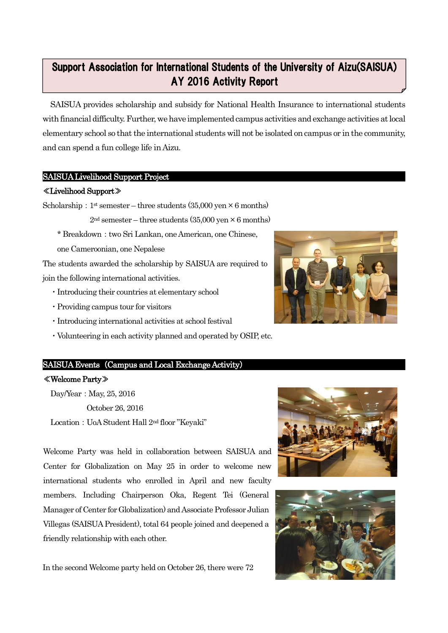#### 12 Support Association for International Students of the University of Aizu(SAISUA) AY 2016 Activity Report

SAISUA provides scholarship and subsidy for National Health Insurance to international students with financial difficulty.Further, we have implemented campus activities and exchange activities at local elementary school so that the international students will not be isolated on campus or in the community, and can spend a fun college life in Aizu.

# SAISUA Livelihood Support Project

#### ≪Livelihood Support≫

Γ

Scholarship:  $1$ <sup>st</sup> semester – three students (35,000 yen  $\times$  6 months)

 $2<sup>nd</sup>$  semester – three students (35,000 yen  $\times$  6 months)

\* Breakdown:two Sri Lankan, one American, one Chinese,

one Cameroonian, one Nepalese

The students awarded the scholarship by SAISUA are required to join the following international activities.

- ・Introducing their countries at elementary school
- ・Providing campus tour for visitors
- ・Introducing international activities at school festival
- ・Volunteering in each activity planned and operated by OSIP, etc.

## SAISUA Events (Campus and Local Exchange Activity)

#### ≪Welcome Party≫

Day/Year: May, 25, 2016 October 26, 2016 Location: UoA Student Hall 2<sup>nd</sup> floor "Keyaki"

Welcome Party was held in collaboration between SAISUA and Center for Globalization on May 25 in order to welcome new international students who enrolled in April and new faculty members. Including Chairperson Oka, Regent Tei (General Manager of Center for Globalization) and Associate Professor Julian Villegas (SAISUA President), total 64 people joined and deepened a friendly relationship with each other.

In the second Welcome party held on October 26, there were 72